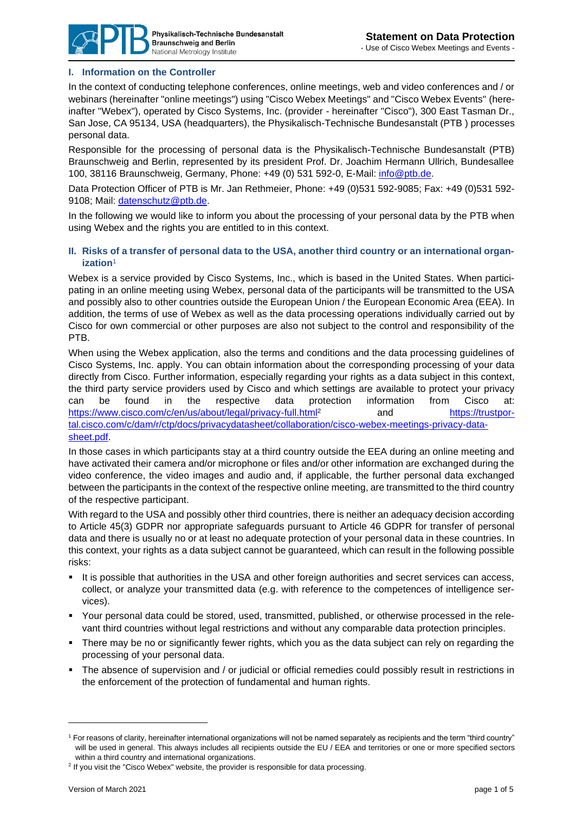

## **I. Information on the Controller**

In the context of conducting telephone conferences, online meetings, web and video conferences and / or webinars (hereinafter "online meetings") using "Cisco Webex Meetings" and "Cisco Webex Events" (hereinafter "Webex"), operated by Cisco Systems, Inc. (provider - hereinafter "Cisco"), 300 East Tasman Dr., San Jose, CA 95134, USA (headquarters), the Physikalisch-Technische Bundesanstalt (PTB ) processes personal data.

Responsible for the processing of personal data is the Physikalisch-Technische Bundesanstalt (PTB) Braunschweig and Berlin, represented by its president Prof. Dr. Joachim Hermann Ullrich, Bundesallee 100, 38116 Braunschweig, Germany, Phone: +49 (0) 531 592-0, E-Mail: [info@ptb.de.](mailto:info@ptb.de)

Data Protection Officer of PTB is Mr. Jan Rethmeier, Phone: +49 (0)531 592-9085; Fax: +49 (0)531 592- 9108; Mail: [datenschutz@ptb.de.](mailto:datenschutz@ptb.de)

In the following we would like to inform you about the processing of your personal data by the PTB when using Webex and the rights you are entitled to in this context.

#### **II. Risks of a transfer of personal data to the USA, another third country or an international organization**<sup>1</sup>

Webex is a service provided by Cisco Systems, Inc., which is based in the United States. When participating in an online meeting using Webex, personal data of the participants will be transmitted to the USA and possibly also to other countries outside the European Union / the European Economic Area (EEA). In addition, the terms of use of Webex as well as the data processing operations individually carried out by Cisco for own commercial or other purposes are also not subject to the control and responsibility of the PTB.

When using the Webex application, also the terms and conditions and the data processing guidelines of Cisco Systems, Inc. apply. You can obtain information about the corresponding processing of your data directly from Cisco. Further information, especially regarding your rights as a data subject in this context, the third party service providers used by Cisco and which settings are available to protect your privacy can be found in the respective data protection information from Cisco at: <https://www.cisco.com/c/en/us/about/legal/privacy-full.html><sup>2</sup> and [https://trustpor](https://trustportal.cisco.com/c/dam/r/ctp/docs/privacydatasheet/collaboration/cisco-webex-meetings-privacy-data-sheet.pdf)[tal.cisco.com/c/dam/r/ctp/docs/privacydatasheet/collaboration/cisco-webex-meetings-privacy-data](https://trustportal.cisco.com/c/dam/r/ctp/docs/privacydatasheet/collaboration/cisco-webex-meetings-privacy-data-sheet.pdf)[sheet.pdf.](https://trustportal.cisco.com/c/dam/r/ctp/docs/privacydatasheet/collaboration/cisco-webex-meetings-privacy-data-sheet.pdf)

In those cases in which participants stay at a third country outside the EEA during an online meeting and have activated their camera and/or microphone or files and/or other information are exchanged during the video conference, the video images and audio and, if applicable, the further personal data exchanged between the participants in the context of the respective online meeting, are transmitted to the third country of the respective participant.

With regard to the USA and possibly other third countries, there is neither an adequacy decision according to Article 45(3) GDPR nor appropriate safeguards pursuant to Article 46 GDPR for transfer of personal data and there is usually no or at least no adequate protection of your personal data in these countries. In this context, your rights as a data subject cannot be guaranteed, which can result in the following possible risks:

- It is possible that authorities in the USA and other foreign authorities and secret services can access, collect, or analyze your transmitted data (e.g. with reference to the competences of intelligence services).
- Your personal data could be stored, used, transmitted, published, or otherwise processed in the relevant third countries without legal restrictions and without any comparable data protection principles.
- There may be no or significantly fewer rights, which you as the data subject can rely on regarding the processing of your personal data.
- The absence of supervision and / or judicial or official remedies could possibly result in restrictions in the enforcement of the protection of fundamental and human rights.

<sup>&</sup>lt;sup>1</sup> For reasons of clarity, hereinafter international organizations will not be named separately as recipients and the term "third country" will be used in general. This always includes all recipients outside the EU / EEA and territories or one or more specified sectors within a third country and international organizations.

<sup>&</sup>lt;sup>2</sup> If you visit the "Cisco Webex" website, the provider is responsible for data processing.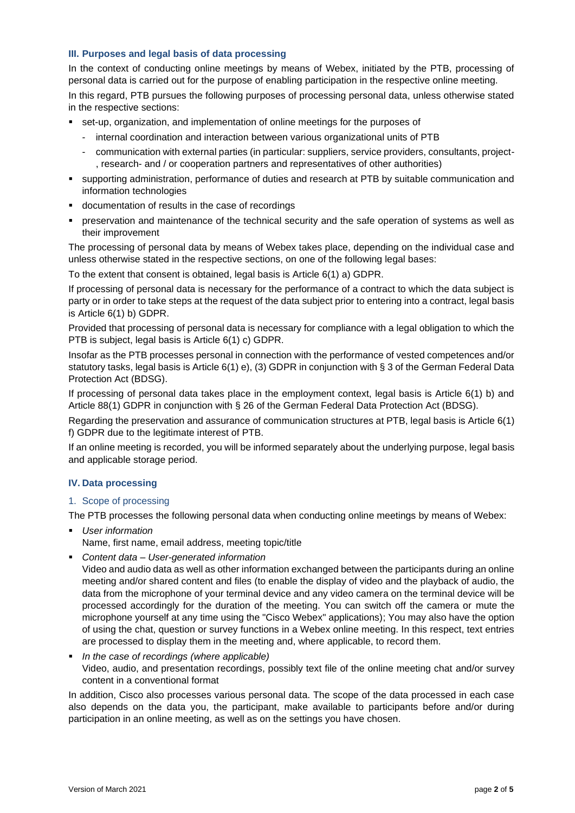## **III. Purposes and legal basis of data processing**

In the context of conducting online meetings by means of Webex, initiated by the PTB, processing of personal data is carried out for the purpose of enabling participation in the respective online meeting. In this regard, PTB pursues the following purposes of processing personal data, unless otherwise stated in the respective sections:

- set-up, organization, and implementation of online meetings for the purposes of
	- internal coordination and interaction between various organizational units of PTB
	- communication with external parties (in particular: suppliers, service providers, consultants, project- , research- and / or cooperation partners and representatives of other authorities)
- supporting administration, performance of duties and research at PTB by suitable communication and information technologies
- documentation of results in the case of recordings
- preservation and maintenance of the technical security and the safe operation of systems as well as their improvement

The processing of personal data by means of Webex takes place, depending on the individual case and unless otherwise stated in the respective sections, on one of the following legal bases:

To the extent that consent is obtained, legal basis is Article 6(1) a) GDPR.

If processing of personal data is necessary for the performance of a contract to which the data subject is party or in order to take steps at the request of the data subject prior to entering into a contract, legal basis is Article 6(1) b) GDPR.

Provided that processing of personal data is necessary for compliance with a legal obligation to which the PTB is subject, legal basis is Article 6(1) c) GDPR.

Insofar as the PTB processes personal in connection with the performance of vested competences and/or statutory tasks, legal basis is Article 6(1) e), (3) GDPR in conjunction with § 3 of the German Federal Data Protection Act (BDSG).

If processing of personal data takes place in the employment context, legal basis is Article 6(1) b) and Article 88(1) GDPR in conjunction with § 26 of the German Federal Data Protection Act (BDSG).

Regarding the preservation and assurance of communication structures at PTB, legal basis is Article 6(1) f) GDPR due to the legitimate interest of PTB.

If an online meeting is recorded, you will be informed separately about the underlying purpose, legal basis and applicable storage period.

## **IV. Data processing**

#### 1. Scope of processing

The PTB processes the following personal data when conducting online meetings by means of Webex:

- *User information* 
	- Name, first name, email address, meeting topic/title
- *Content data – User-generated information*

Video and audio data as well as other information exchanged between the participants during an online meeting and/or shared content and files (to enable the display of video and the playback of audio, the data from the microphone of your terminal device and any video camera on the terminal device will be processed accordingly for the duration of the meeting. You can switch off the camera or mute the microphone yourself at any time using the "Cisco Webex" applications); You may also have the option of using the chat, question or survey functions in a Webex online meeting. In this respect, text entries are processed to display them in the meeting and, where applicable, to record them.

▪ *In the case of recordings (where applicable)* Video, audio, and presentation recordings, possibly text file of the online meeting chat and/or survey content in a conventional format

In addition, Cisco also processes various personal data. The scope of the data processed in each case also depends on the data you, the participant, make available to participants before and/or during participation in an online meeting, as well as on the settings you have chosen.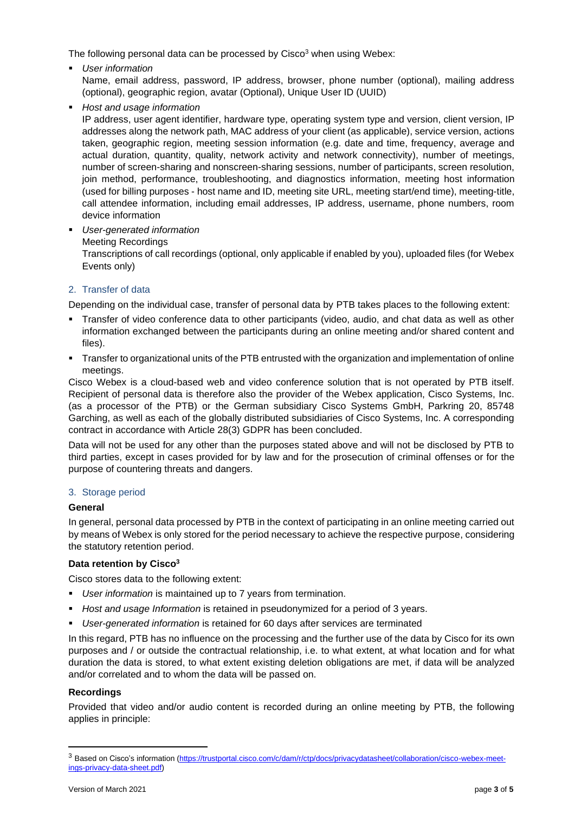The following personal data can be processed by  $Cisco<sup>3</sup>$  when using Webex:

- *User information*  Name, email address, password, IP address, browser, phone number (optional), mailing address (optional), geographic region, avatar (Optional), Unique User ID (UUID)
- *Host and usage information*

IP address, user agent identifier, hardware type, operating system type and version, client version, IP addresses along the network path, MAC address of your client (as applicable), service version, actions taken, geographic region, meeting session information (e.g. date and time, frequency, average and actual duration, quantity, quality, network activity and network connectivity), number of meetings, number of screen-sharing and nonscreen-sharing sessions, number of participants, screen resolution, join method, performance, troubleshooting, and diagnostics information, meeting host information (used for billing purposes - host name and ID, meeting site URL, meeting start/end time), meeting-title, call attendee information, including email addresses, IP address, username, phone numbers, room device information

▪ *User-generated information* Meeting Recordings Transcriptions of call recordings (optional, only applicable if enabled by you), uploaded files (for Webex Events only)

# 2. Transfer of data

Depending on the individual case, transfer of personal data by PTB takes places to the following extent:

- Transfer of video conference data to other participants (video, audio, and chat data as well as other information exchanged between the participants during an online meeting and/or shared content and files).
- Transfer to organizational units of the PTB entrusted with the organization and implementation of online meetings.

Cisco Webex is a cloud-based web and video conference solution that is not operated by PTB itself. Recipient of personal data is therefore also the provider of the Webex application, Cisco Systems, Inc. (as a processor of the PTB) or the German subsidiary Cisco Systems GmbH, Parkring 20, 85748 Garching, as well as each of the globally distributed subsidiaries of Cisco Systems, Inc. A corresponding contract in accordance with Article 28(3) GDPR has been concluded.

Data will not be used for any other than the purposes stated above and will not be disclosed by PTB to third parties, except in cases provided for by law and for the prosecution of criminal offenses or for the purpose of countering threats and dangers.

## 3. Storage period

#### **General**

In general, personal data processed by PTB in the context of participating in an online meeting carried out by means of Webex is only stored for the period necessary to achieve the respective purpose, considering the statutory retention period.

## **Data retention by Cisco<sup>3</sup>**

Cisco stores data to the following extent:

- *User information* is maintained up to 7 years from termination.
- *Host and usage Information* is retained in pseudonymized for a period of 3 years.
- *User-generated information* is retained for 60 days after services are terminated

In this regard, PTB has no influence on the processing and the further use of the data by Cisco for its own purposes and / or outside the contractual relationship, i.e. to what extent, at what location and for what duration the data is stored, to what extent existing deletion obligations are met, if data will be analyzed and/or correlated and to whom the data will be passed on.

## **Recordings**

Provided that video and/or audio content is recorded during an online meeting by PTB, the following applies in principle:

<sup>&</sup>lt;sup>3</sup> Based on Cisco's information [\(https://trustportal.cisco.com/c/dam/r/ctp/docs/privacydatasheet/collaboration/cisco-webex-meet](https://trustportal.cisco.com/c/dam/r/ctp/docs/privacydatasheet/collaboration/cisco-webex-meetings-privacy-data-sheet.pdf)[ings-privacy-data-sheet.pdf\)](https://trustportal.cisco.com/c/dam/r/ctp/docs/privacydatasheet/collaboration/cisco-webex-meetings-privacy-data-sheet.pdf)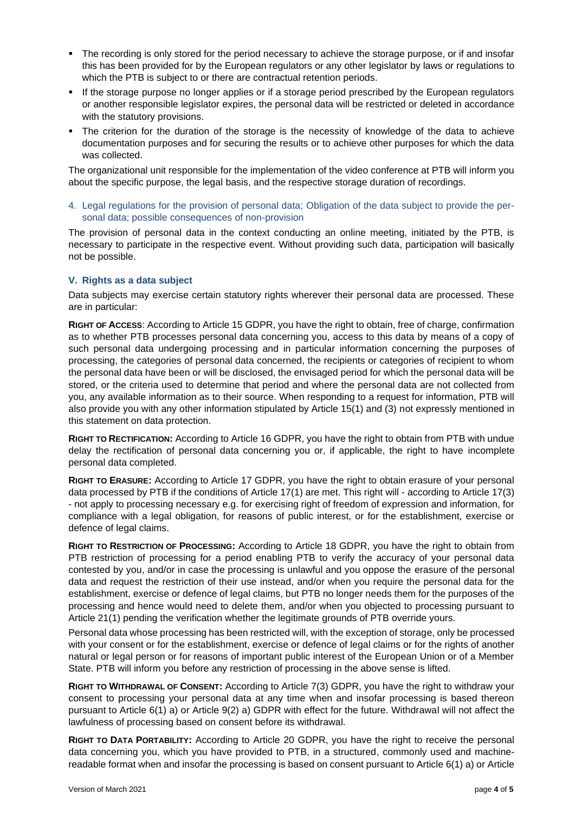- The recording is only stored for the period necessary to achieve the storage purpose, or if and insofar this has been provided for by the European regulators or any other legislator by laws or regulations to which the PTB is subject to or there are contractual retention periods.
- If the storage purpose no longer applies or if a storage period prescribed by the European regulators or another responsible legislator expires, the personal data will be restricted or deleted in accordance with the statutory provisions.
- The criterion for the duration of the storage is the necessity of knowledge of the data to achieve documentation purposes and for securing the results or to achieve other purposes for which the data was collected.

The organizational unit responsible for the implementation of the video conference at PTB will inform you about the specific purpose, the legal basis, and the respective storage duration of recordings.

4. Legal regulations for the provision of personal data; Obligation of the data subject to provide the personal data; possible consequences of non-provision

The provision of personal data in the context conducting an online meeting, initiated by the PTB, is necessary to participate in the respective event. Without providing such data, participation will basically not be possible.

#### **V. Rights as a data subject**

Data subjects may exercise certain statutory rights wherever their personal data are processed. These are in particular:

**RIGHT OF ACCESS**: According to Article 15 GDPR, you have the right to obtain, free of charge, confirmation as to whether PTB processes personal data concerning you, access to this data by means of a copy of such personal data undergoing processing and in particular information concerning the purposes of processing, the categories of personal data concerned, the recipients or categories of recipient to whom the personal data have been or will be disclosed, the envisaged period for which the personal data will be stored, or the criteria used to determine that period and where the personal data are not collected from you, any available information as to their source. When responding to a request for information, PTB will also provide you with any other information stipulated by Article 15(1) and (3) not expressly mentioned in this statement on data protection.

**RIGHT TO RECTIFICATION:** According to Article 16 GDPR, you have the right to obtain from PTB with undue delay the rectification of personal data concerning you or, if applicable, the right to have incomplete personal data completed.

**RIGHT TO ERASURE:** According to Article 17 GDPR, you have the right to obtain erasure of your personal data processed by PTB if the conditions of Article 17(1) are met. This right will - according to Article 17(3) - not apply to processing necessary e.g. for exercising right of freedom of expression and information, for compliance with a legal obligation, for reasons of public interest, or for the establishment, exercise or defence of legal claims.

**RIGHT TO RESTRICTION OF PROCESSING:** According to Article 18 GDPR, you have the right to obtain from PTB restriction of processing for a period enabling PTB to verify the accuracy of your personal data contested by you, and/or in case the processing is unlawful and you oppose the erasure of the personal data and request the restriction of their use instead, and/or when you require the personal data for the establishment, exercise or defence of legal claims, but PTB no longer needs them for the purposes of the processing and hence would need to delete them, and/or when you objected to processing pursuant to Article 21(1) pending the verification whether the legitimate grounds of PTB override yours.

Personal data whose processing has been restricted will, with the exception of storage, only be processed with your consent or for the establishment, exercise or defence of legal claims or for the rights of another natural or legal person or for reasons of important public interest of the European Union or of a Member State. PTB will inform you before any restriction of processing in the above sense is lifted.

**RIGHT TO WITHDRAWAL OF CONSENT:** According to Article 7(3) GDPR, you have the right to withdraw your consent to processing your personal data at any time when and insofar processing is based thereon pursuant to Article 6(1) a) or Article 9(2) a) GDPR with effect for the future. Withdrawal will not affect the lawfulness of processing based on consent before its withdrawal.

**RIGHT TO DATA PORTABILITY:** According to Article 20 GDPR, you have the right to receive the personal data concerning you, which you have provided to PTB, in a structured, commonly used and machinereadable format when and insofar the processing is based on consent pursuant to Article 6(1) a) or Article